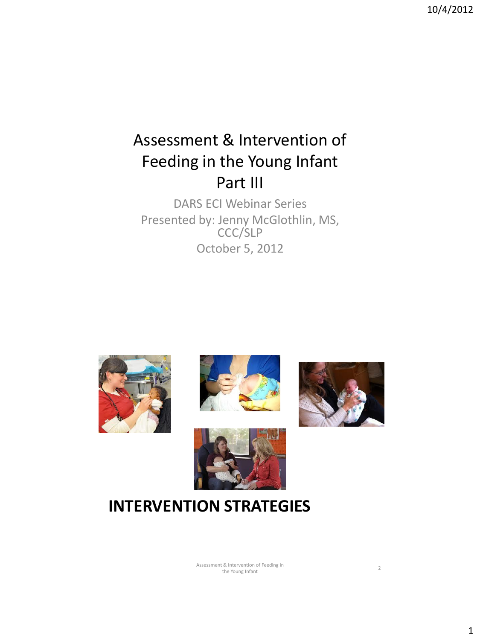### Assessment & Intervention of Feeding in the Young Infant Part III

DARS ECI Webinar Series Presented by: Jenny McGlothlin, MS, CCC/SLP October 5, 2012









### **INTERVENTION STRATEGIES**

Assessment & Intervention of Feeding in t & Intervention of Feeding in<br>
the Young Infant 2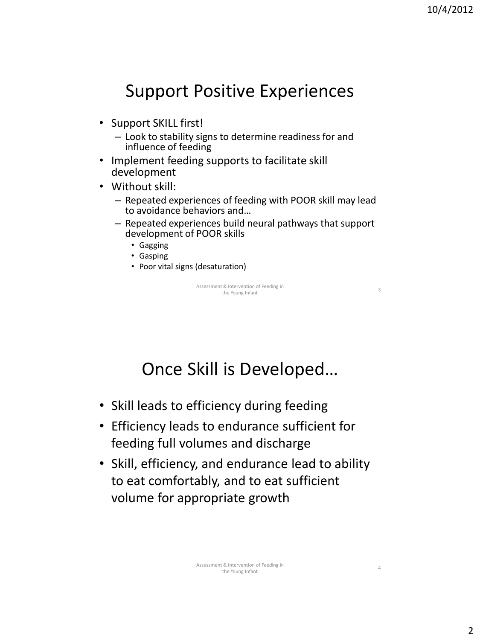## Support Positive Experiences

- Support SKILL first!
	- Look to stability signs to determine readiness for and influence of feeding
- Implement feeding supports to facilitate skill development
- Without skill:
	- Repeated experiences of feeding with POOR skill may lead to avoidance behaviors and…
	- Repeated experiences build neural pathways that support development of POOR skills
		- Gagging
		- Gasping
		- Poor vital signs (desaturation)

Assessment & Intervention of Feeding in t & Intervention or Feeding in<br>
the Young Infant 3

## Once Skill is Developed…

- Skill leads to efficiency during feeding
- Efficiency leads to endurance sufficient for feeding full volumes and discharge
- Skill, efficiency, and endurance lead to ability to eat comfortably, and to eat sufficient volume for appropriate growth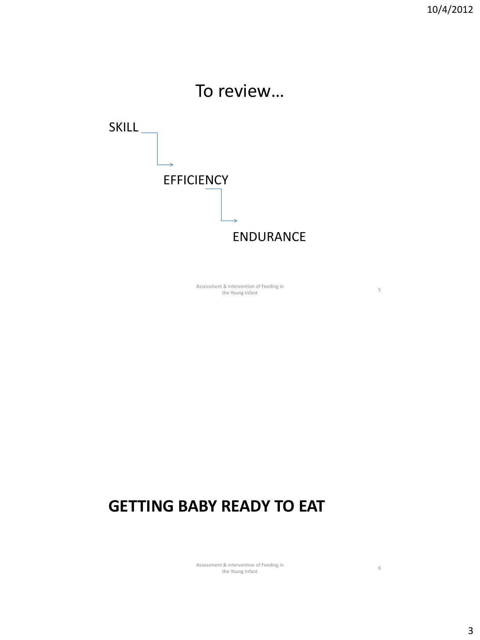

Assessment & Intervention of Feeding in nt & Intervention of Feeding in<br>
the Young Infant 5

### **GETTING BABY READY TO EAT**

Assessment & Intervention of Feeding in t & Intervention of Feeding in<br>
the Young Infant 6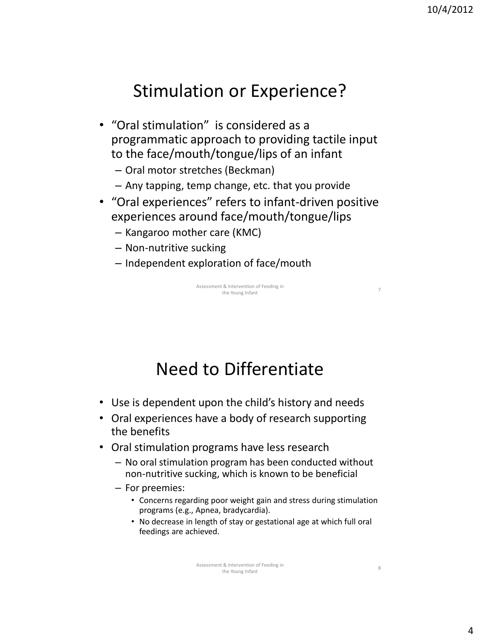### Stimulation or Experience?

- "Oral stimulation" is considered as a programmatic approach to providing tactile input to the face/mouth/tongue/lips of an infant
	- Oral motor stretches (Beckman)
	- Any tapping, temp change, etc. that you provide
- "Oral experiences" refers to infant-driven positive experiences around face/mouth/tongue/lips
	- Kangaroo mother care (KMC)
	- Non-nutritive sucking
	- Independent exploration of face/mouth

Assessment & Intervention of Feeding in it & Intervention of Feeding in<br>the Young Infant

## Need to Differentiate

- Use is dependent upon the child's history and needs
- Oral experiences have a body of research supporting the benefits
- Oral stimulation programs have less research
	- No oral stimulation program has been conducted without non-nutritive sucking, which is known to be beneficial
	- For preemies:
		- Concerns regarding poor weight gain and stress during stimulation programs (e.g., Apnea, bradycardia).
		- No decrease in length of stay or gestational age at which full oral feedings are achieved.

4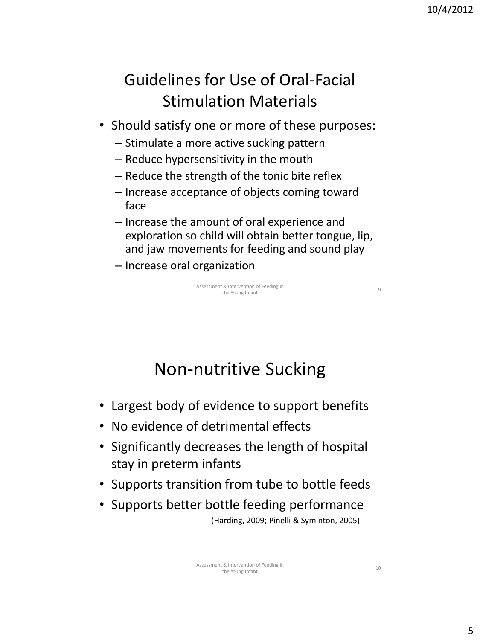### Guidelines for Use of Oral-Facial Stimulation Materials

- Should satisfy one or more of these purposes:
	- Stimulate a more active sucking pattern
	- Reduce hypersensitivity in the mouth
	- Reduce the strength of the tonic bite reflex
	- Increase acceptance of objects coming toward face
	- Increase the amount of oral experience and exploration so child will obtain better tongue, lip, and jaw movements for feeding and sound play
	- Increase oral organization

Assessment & Intervention of Feeding in it & intervention of Feeding in<br>the Young Infant

# Non-nutritive Sucking

- Largest body of evidence to support benefits
- No evidence of detrimental effects
- Significantly decreases the length of hospital stay in preterm infants
- Supports transition from tube to bottle feeds
- Supports better bottle feeding performance (Harding, 2009; Pinelli & Syminton, 2005)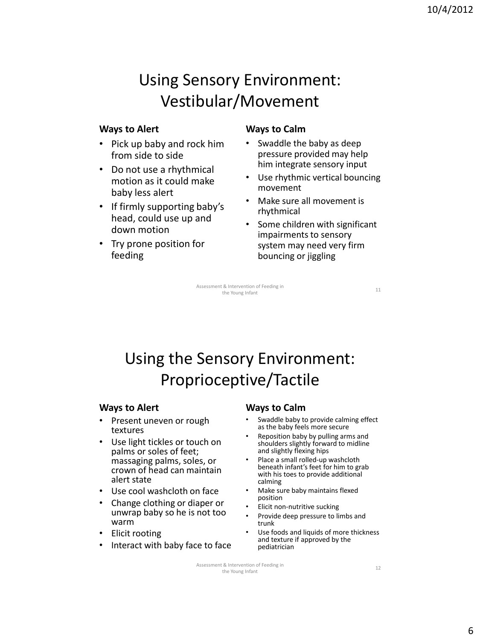### Using Sensory Environment: Vestibular/Movement

#### **Ways to Alert**

- Pick up baby and rock him from side to side
- Do not use a rhythmical motion as it could make baby less alert
- If firmly supporting baby's head, could use up and down motion
- Try prone position for feeding

#### **Ways to Calm**

- Swaddle the baby as deep pressure provided may help him integrate sensory input
- Use rhythmic vertical bouncing movement
- Make sure all movement is rhythmical
- Some children with significant impairments to sensory system may need very firm bouncing or jiggling

Assessment & Intervention of Feeding in it & intervention of Feeding in<br>the Young Infant 11

Using the Sensory Environment: Proprioceptive/Tactile

#### **Ways to Alert**

- Present uneven or rough textures
- Use light tickles or touch on palms or soles of feet; massaging palms, soles, or crown of head can maintain alert state
- Use cool washcloth on face
- Change clothing or diaper or unwrap baby so he is not too warm
- Elicit rooting
- Interact with baby face to face

#### **Ways to Calm**

- Swaddle baby to provide calming effect as the baby feels more secure
- Reposition baby by pulling arms and shoulders slightly forward to midline and slightly flexing hips
- Place a small rolled-up washcloth beneath infant's feet for him to grab with his toes to provide additional calming
- Make sure baby maintains flexed position
- Elicit non-nutritive sucking
- Provide deep pressure to limbs and trunk
- Use foods and liquids of more thickness and texture if approved by the pediatrician

Assessment & Intervention of Feeding in the Young Infant 12<br>the Young Infant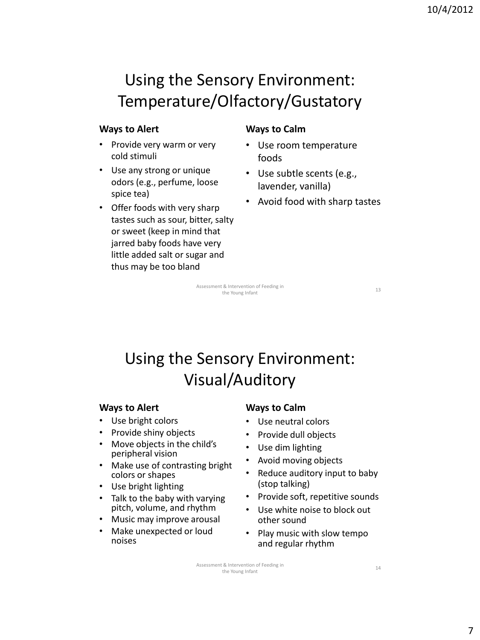### Using the Sensory Environment: Temperature/Olfactory/Gustatory

#### **Ways to Alert**

- Provide very warm or very cold stimuli
- Use any strong or unique odors (e.g., perfume, loose spice tea)
- Offer foods with very sharp tastes such as sour, bitter, salty or sweet (keep in mind that jarred baby foods have very little added salt or sugar and thus may be too bland

#### **Ways to Calm**

- Use room temperature foods
- Use subtle scents (e.g., lavender, vanilla)
- Avoid food with sharp tastes

Assessment & Intervention of Feeding in it & intervention of Feeding in<br>the Young Infant 13

### Using the Sensory Environment: Visual/Auditory

#### **Ways to Alert**

- Use bright colors
- Provide shiny objects
- Move objects in the child's peripheral vision
- Make use of contrasting bright colors or shapes
- Use bright lighting
- Talk to the baby with varying pitch, volume, and rhythm
- Music may improve arousal
- Make unexpected or loud noises

#### **Ways to Calm**

- Use neutral colors
- Provide dull objects
- Use dim lighting
- Avoid moving objects
- Reduce auditory input to baby (stop talking)
- Provide soft, repetitive sounds
- Use white noise to block out other sound
- Play music with slow tempo and regular rhythm

Assessment & Intervention of Feeding in the Young Infant 14<br>the Young Infant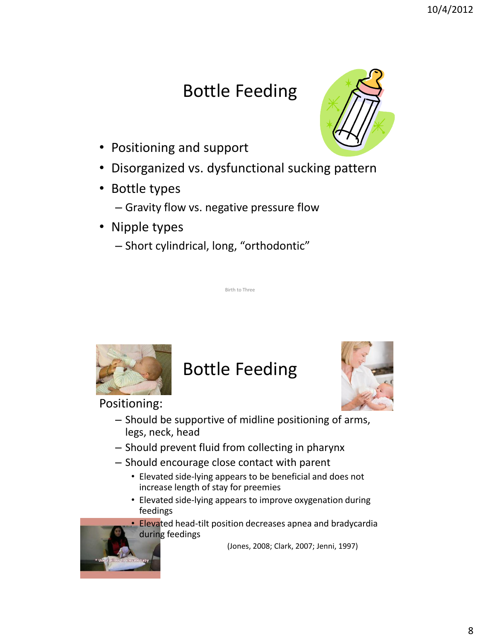# Bottle Feeding

- Positioning and support
- Disorganized vs. dysfunctional sucking pattern
- Bottle types
	- Gravity flow vs. negative pressure flow
- Nipple types
	- Short cylindrical, long, "orthodontic"

### Bottle Feeding

Birth to Three

Positioning:

- 
- Should be supportive of midline positioning of arms, legs, neck, head
- Should prevent fluid from collecting in pharynx
- Should encourage close contact with parent
	- Elevated side-lying appears to be beneficial and does not increase length of stay for preemies
	- Elevated side-lying appears to improve oxygenation during feedings

• Elevated head-tilt position decreases apnea and bradycardia during feedings

(Jones, 2008; Clark, 2007; Jenni, 1997)







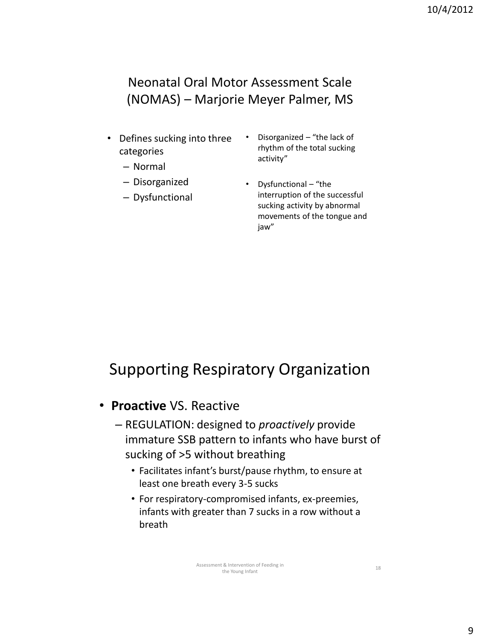### Neonatal Oral Motor Assessment Scale (NOMAS) – Marjorie Meyer Palmer, MS

- Defines sucking into three categories
	- Normal
	- Disorganized
	- Dysfunctional
- Disorganized "the lack of rhythm of the total sucking activity"
- Dysfunctional "the interruption of the successful sucking activity by abnormal movements of the tongue and jaw"

### Supporting Respiratory Organization

- **Proactive** VS. Reactive
	- REGULATION: designed to *proactively* provide immature SSB pattern to infants who have burst of sucking of >5 without breathing
		- Facilitates infant's burst/pause rhythm, to ensure at least one breath every 3-5 sucks
		- For respiratory-compromised infants, ex-preemies, infants with greater than 7 sucks in a row without a breath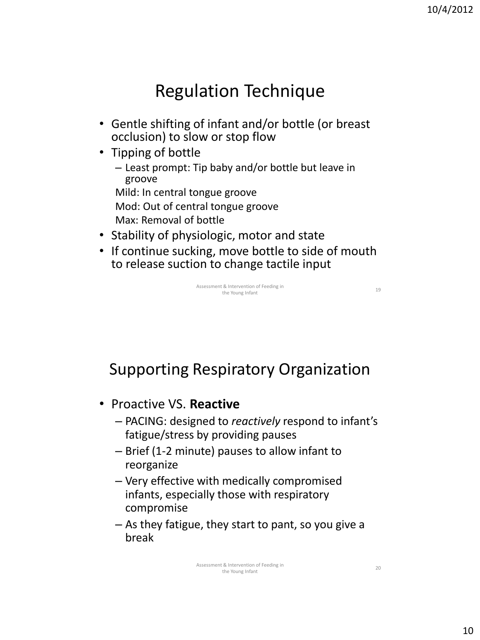## Regulation Technique

- Gentle shifting of infant and/or bottle (or breast occlusion) to slow or stop flow
- Tipping of bottle
	- Least prompt: Tip baby and/or bottle but leave in groove
	- Mild: In central tongue groove
	- Mod: Out of central tongue groove
	- Max: Removal of bottle
- Stability of physiologic, motor and state
- If continue sucking, move bottle to side of mouth to release suction to change tactile input



Supporting Respiratory Organization

- Proactive VS. **Reactive**
	- PACING: designed to *reactively* respond to infant's fatigue/stress by providing pauses
	- Brief (1-2 minute) pauses to allow infant to reorganize
	- Very effective with medically compromised infants, especially those with respiratory compromise
	- As they fatigue, they start to pant, so you give a break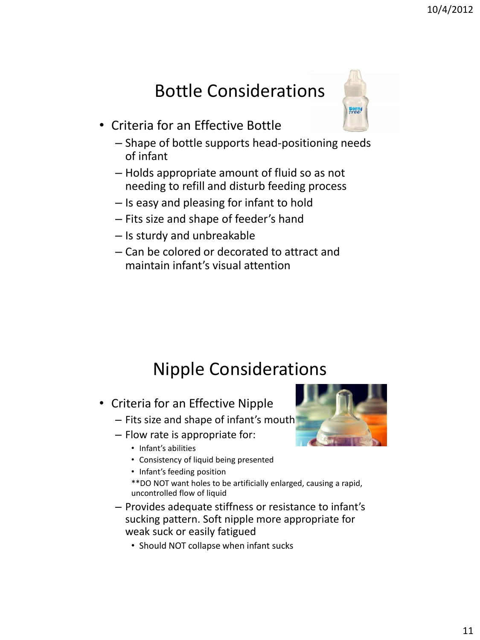# Bottle Considerations

- Criteria for an Effective Bottle
	- Shape of bottle supports head-positioning needs of infant
	- Holds appropriate amount of fluid so as not needing to refill and disturb feeding process
	- Is easy and pleasing for infant to hold
	- Fits size and shape of feeder's hand
	- Is sturdy and unbreakable
	- Can be colored or decorated to attract and maintain infant's visual attention

### Nipple Considerations

- Criteria for an Effective Nipple
	- Fits size and shape of infant's mouth
	- Flow rate is appropriate for:
		- Infant's abilities
		- Consistency of liquid being presented
		- Infant's feeding position

\*\*DO NOT want holes to be artificially enlarged, causing a rapid, uncontrolled flow of liquid

- Provides adequate stiffness or resistance to infant's sucking pattern. Soft nipple more appropriate for weak suck or easily fatigued
	- Should NOT collapse when infant sucks



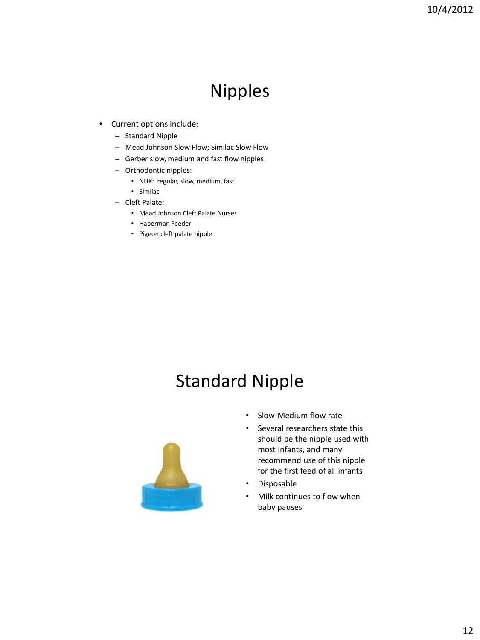## Nipples

- Current options include:
	- Standard Nipple
	- Mead Johnson Slow Flow; Similac Slow Flow
	- Gerber slow, medium and fast flow nipples
	- Orthodontic nipples:
		- NUK: regular, slow, medium, fast
		- Similac
	- Cleft Palate:
		- Mead Johnson Cleft Palate Nurser
		- Haberman Feeder
		- Pigeon cleft palate nipple

### Standard Nipple



- Slow-Medium flow rate
- Several researchers state this should be the nipple used with most infants, and many recommend use of this nipple for the first feed of all infants
- Disposable
- Milk continues to flow when baby pauses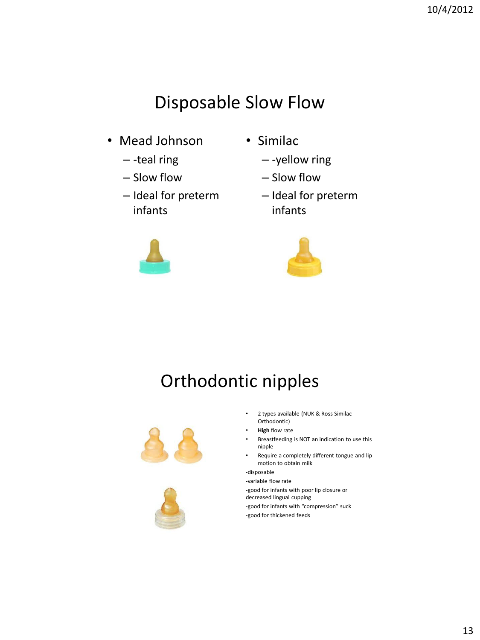# Disposable Slow Flow

- Mead Johnson
	- -teal ring
	- Slow flow
	- Ideal for preterm infants
- Similac
	- -yellow ring
	- Slow flow
	- Ideal for preterm infants





# Orthodontic nipples





- 2 types available (NUK & Ross Similac Orthodontic)
- **High** flow rate
- Breastfeeding is NOT an indication to use this nipple
- Require a completely different tongue and lip motion to obtain milk

-disposable

-variable flow rate -good for infants with poor lip closure or decreased lingual cupping -good for infants with "compression" suck

-good for thickened feeds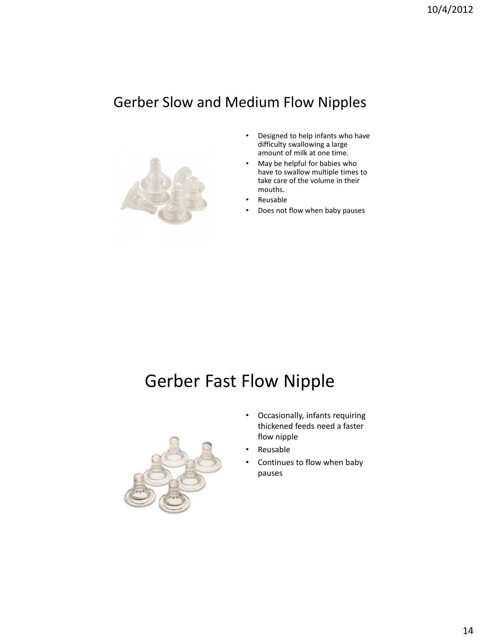### Gerber Slow and Medium Flow Nipples



- Designed to help infants who have difficulty swallowing a large amount of milk at one time.
- May be helpful for babies who have to swallow multiple times to take care of the volume in their mouths.
- Reusable
- Does not flow when baby pauses

# Gerber Fast Flow Nipple



- Occasionally, infants requiring thickened feeds need a faster flow nipple
- Reusable
- Continues to flow when baby pauses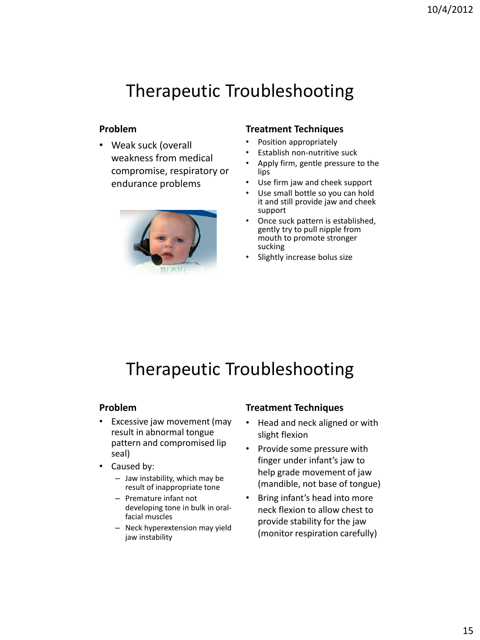#### **Problem**

• Weak suck (overall weakness from medical compromise, respiratory or endurance problems



#### **Treatment Techniques**

- Position appropriately
- Establish non-nutritive suck
- Apply firm, gentle pressure to the lips
- Use firm jaw and cheek support
- Use small bottle so you can hold it and still provide jaw and cheek support
- Once suck pattern is established, gently try to pull nipple from mouth to promote stronger sucking
- Slightly increase bolus size

# Therapeutic Troubleshooting

#### **Problem**

- Excessive jaw movement (may result in abnormal tongue pattern and compromised lip seal)
- Caused by:
	- Jaw instability, which may be result of inappropriate tone
	- Premature infant not developing tone in bulk in oralfacial muscles
	- Neck hyperextension may yield jaw instability

#### **Treatment Techniques**

- Head and neck aligned or with slight flexion
- Provide some pressure with finger under infant's jaw to help grade movement of jaw (mandible, not base of tongue)
- Bring infant's head into more neck flexion to allow chest to provide stability for the jaw (monitor respiration carefully)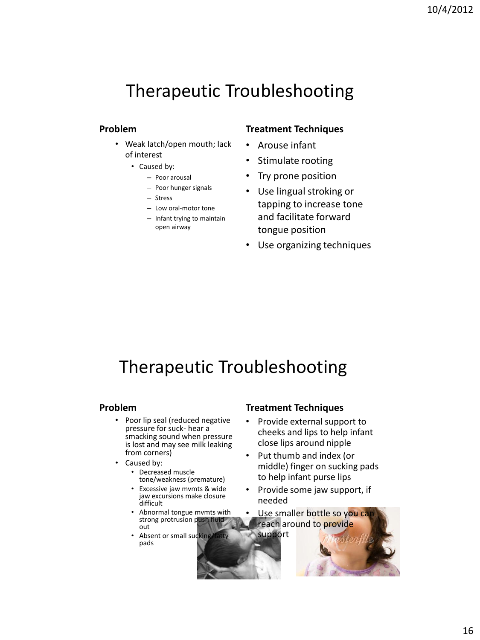#### **Problem**

- Weak latch/open mouth; lack of interest
	- Caused by:
		- Poor arousal
		- Poor hunger signals
		- Stress
		- Low oral-motor tone
		- Infant trying to maintain open airway

#### **Treatment Techniques**

- Arouse infant
- Stimulate rooting
- Try prone position
- Use lingual stroking or tapping to increase tone and facilitate forward tongue position
- Use organizing techniques

## Therapeutic Troubleshooting

#### **Problem**

- Poor lip seal (reduced negative pressure for suck- hear a smacking sound when pressure is lost and may see milk leaking from corners)
- Caused by:
	- Decreased muscle tone/weakness (premature)
	- Excessive jaw mvmts & wide jaw excursions make closure difficult
	- Abnormal tongue mvmts with strong protrusion push fluid out
	- Absent or small sucking/fatty pads

#### **Treatment Techniques**

- Provide external support to cheeks and lips to help infant close lips around nipple
- Put thumb and index (or middle) finger on sucking pads to help infant purse lips
- Provide some jaw support, if needed
- Use smaller bottle so you ca reach around to provide

support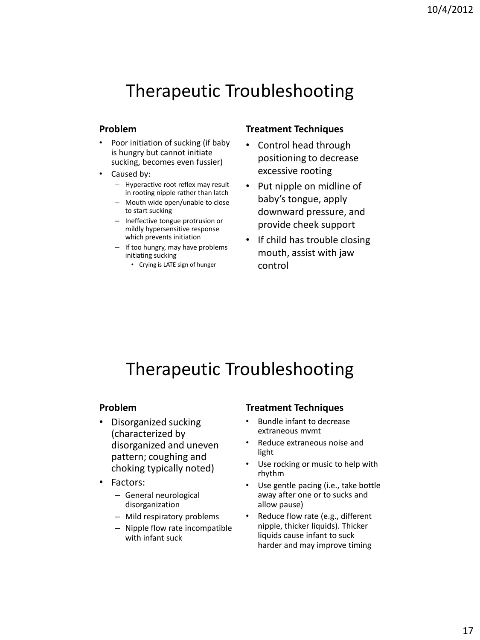#### **Problem**

- Poor initiation of sucking (if baby is hungry but cannot initiate sucking, becomes even fussier)
- Caused by:
	- Hyperactive root reflex may result in rooting nipple rather than latch
	- Mouth wide open/unable to close to start sucking
	- Ineffective tongue protrusion or mildly hypersensitive response which prevents initiation
	- If too hungry, may have problems initiating sucking
		- Crying is LATE sign of hunger

#### **Treatment Techniques**

- Control head through positioning to decrease excessive rooting
- Put nipple on midline of baby's tongue, apply downward pressure, and provide cheek support
- If child has trouble closing mouth, assist with jaw control

## Therapeutic Troubleshooting

#### **Problem**

- Disorganized sucking (characterized by disorganized and uneven pattern; coughing and choking typically noted)
- Factors:
	- General neurological disorganization
	- Mild respiratory problems
	- Nipple flow rate incompatible with infant suck

#### **Treatment Techniques**

- Bundle infant to decrease extraneous mvmt
- Reduce extraneous noise and light
- Use rocking or music to help with rhythm
- Use gentle pacing (i.e., take bottle away after one or to sucks and allow pause)
- Reduce flow rate (e.g., different nipple, thicker liquids). Thicker liquids cause infant to suck harder and may improve timing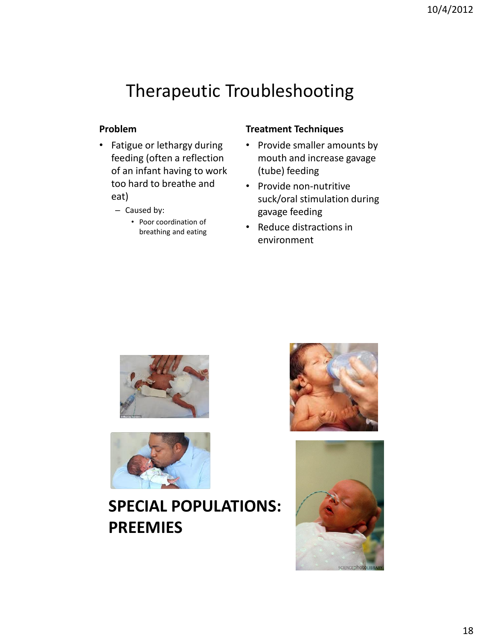#### **Problem**

- Fatigue or lethargy during feeding (often a reflection of an infant having to work too hard to breathe and eat)
	- Caused by:
		- Poor coordination of breathing and eating

#### **Treatment Techniques**

- Provide smaller amounts by mouth and increase gavage (tube) feeding
- Provide non-nutritive suck/oral stimulation during gavage feeding
- Reduce distractions in environment





### **SPECIAL POPULATIONS: PREEMIES**



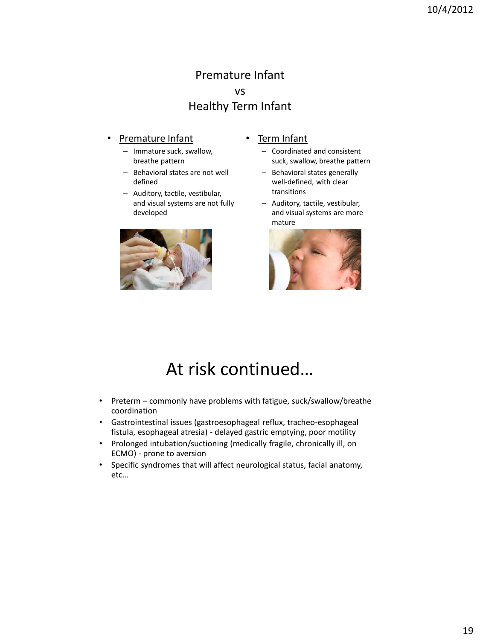#### Premature Infant vs Healthy Term Infant

#### **Premature Infant**

- Immature suck, swallow, breathe pattern
- Behavioral states are not well defined
- Auditory, tactile, vestibular, and visual systems are not fully developed



- Term Infant
	- Coordinated and consistent suck, swallow, breathe pattern
	- Behavioral states generally well-defined, with clear transitions
	- Auditory, tactile, vestibular, and visual systems are more mature



## At risk continued…

- Preterm commonly have problems with fatigue, suck/swallow/breathe coordination
- Gastrointestinal issues (gastroesophageal reflux, tracheo-esophageal fistula, esophageal atresia) - delayed gastric emptying, poor motility
- Prolonged intubation/suctioning (medically fragile, chronically ill, on ECMO) - prone to aversion
- Specific syndromes that will affect neurological status, facial anatomy, etc…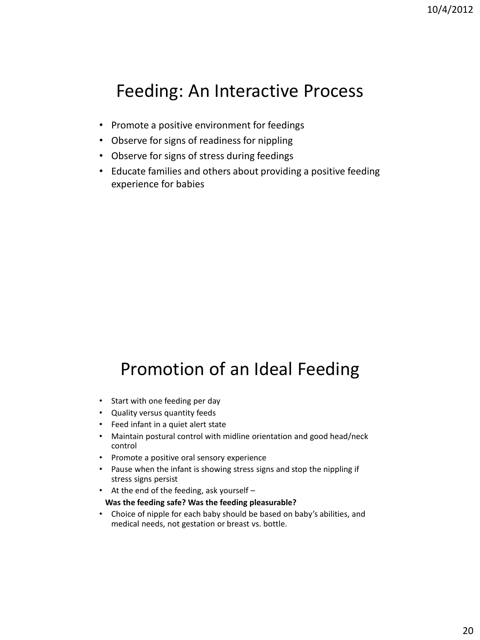### Feeding: An Interactive Process

- Promote a positive environment for feedings
- Observe for signs of readiness for nippling
- Observe for signs of stress during feedings
- Educate families and others about providing a positive feeding experience for babies

# Promotion of an Ideal Feeding

- Start with one feeding per day
- Quality versus quantity feeds
- Feed infant in a quiet alert state
- Maintain postural control with midline orientation and good head/neck control
- Promote a positive oral sensory experience
- Pause when the infant is showing stress signs and stop the nippling if stress signs persist
- At the end of the feeding, ask yourself –

#### **Was the feeding safe? Was the feeding pleasurable?**

• Choice of nipple for each baby should be based on baby's abilities, and medical needs, not gestation or breast vs. bottle.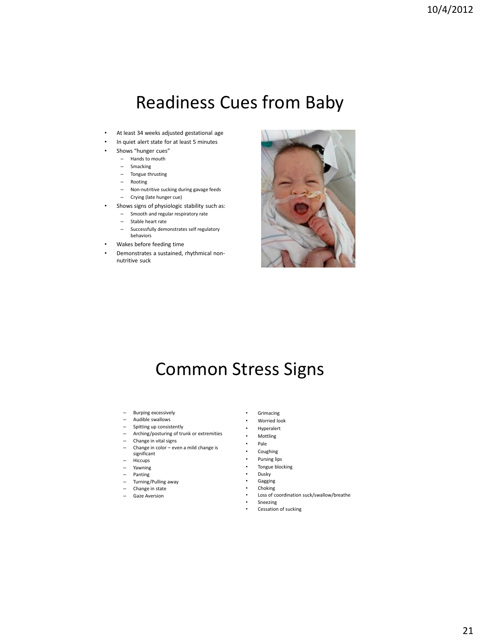### Readiness Cues from Baby

- At least 34 weeks adjusted gestational age
- In quiet alert state for at least 5 minutes
- Shows "hunger cues"
	- Hands to mouth
	- Smacking
	- Tongue thrusting
	- Rooting
	- Non-nutritive sucking during gavage feeds
	- Crying (late hunger cue)
- Shows signs of physiologic stability such as:
	- Smooth and regular respiratory rate
	- Stable heart rate
	- Successfully demonstrates self regulatory behaviors
- Wakes before feeding time
- Demonstrates a sustained, rhythmical nonnutritive suck



### Common Stress Signs

- Burping excessively
- Audible swallows
- Spitting up consistently
- Arching/posturing of trunk or extremities
- Change in vital signs
- Change in color even a mild change is
- significant
- Hiccups
- Yawning
- Panting
- Turning/Pulling away
- Change in state
- Gaze Aversion
- Grimacing
- Worried look
- Hyperalert
- Mottling
- Pale
- **Coughing** • Pursing lips
- Tongue blocking
- Dusky
- Gagging
- 
- Choking<br>• Loss of c • Loss of coordination suck/swallow/breathe
- Sneezing
- Cessation of sucking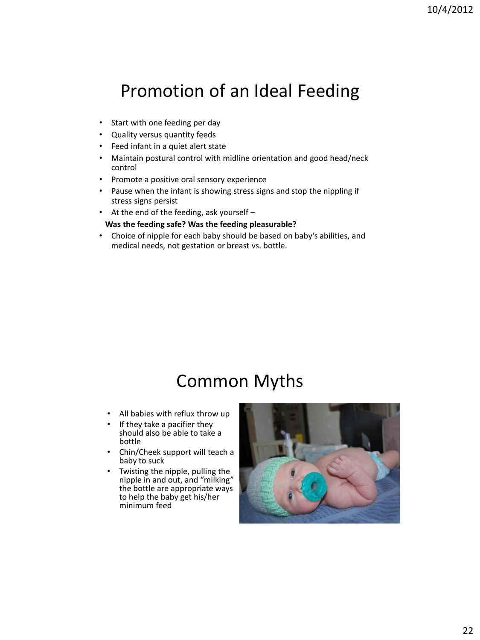# Promotion of an Ideal Feeding

- Start with one feeding per day
- Quality versus quantity feeds
- Feed infant in a quiet alert state
- Maintain postural control with midline orientation and good head/neck control
- Promote a positive oral sensory experience
- Pause when the infant is showing stress signs and stop the nippling if stress signs persist
- At the end of the feeding, ask yourself –

#### **Was the feeding safe? Was the feeding pleasurable?**

• Choice of nipple for each baby should be based on baby's abilities, and medical needs, not gestation or breast vs. bottle.

### Common Myths

- All babies with reflux throw up
- If they take a pacifier they should also be able to take a bottle
- Chin/Cheek support will teach a baby to suck
- Twisting the nipple, pulling the nipple in and out, and "milking" the bottle are appropriate ways to help the baby get his/her minimum feed

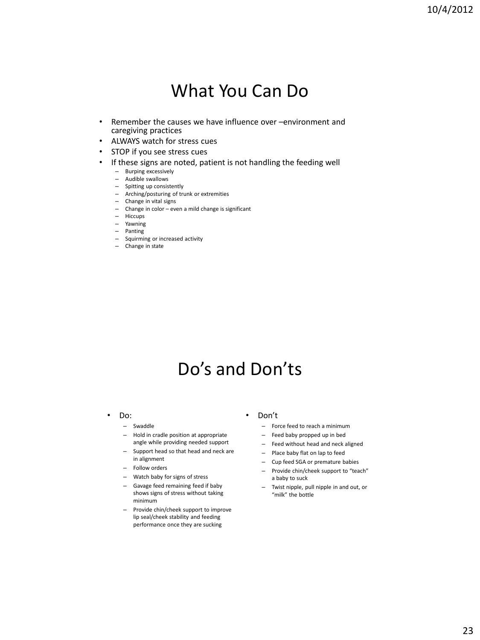### What You Can Do

- Remember the causes we have influence over –environment and caregiving practices
- ALWAYS watch for stress cues
- STOP if you see stress cues
- If these signs are noted, patient is not handling the feeding well
	- Burping excessively
	- Audible swallows
	- Spitting up consistently
	- Arching/posturing of trunk or extremities
	- Change in vital signs
	- Change in color even a mild change is significant
	- Hiccups
	- Yawning
	- Panting
	- Squirming or increased activity
	- Change in state

## Do's and Don'ts

- Do:
	- Swaddle
	- Hold in cradle position at appropriate angle while providing needed support
	- Support head so that head and neck are in alignment
	- Follow orders
	- Watch baby for signs of stress
	- Gavage feed remaining feed if baby shows signs of stress without taking minimum
	- Provide chin/cheek support to improve lip seal/cheek stability and feeding performance once they are sucking
- Don't
	- Force feed to reach a minimum
	- Feed baby propped up in bed
	- Feed without head and neck aligned
	- Place baby flat on lap to feed
	- Cup feed SGA or premature babies
	- Provide chin/cheek support to "teach" a baby to suck
	- Twist nipple, pull nipple in and out, or "milk" the bottle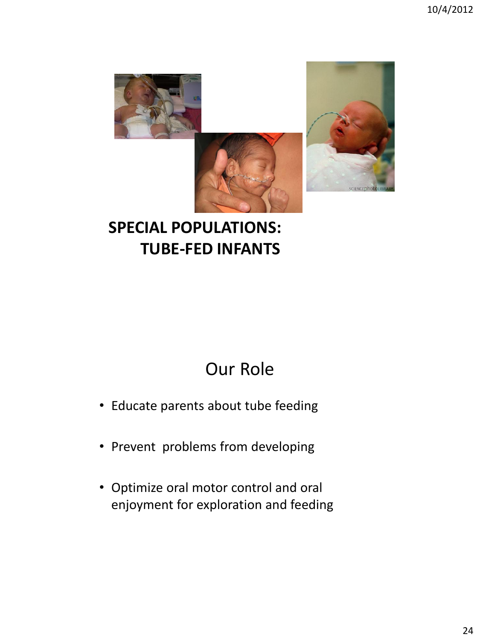

### **SPECIAL POPULATIONS: TUBE-FED INFANTS**

# Our Role

- Educate parents about tube feeding
- Prevent problems from developing
- Optimize oral motor control and oral enjoyment for exploration and feeding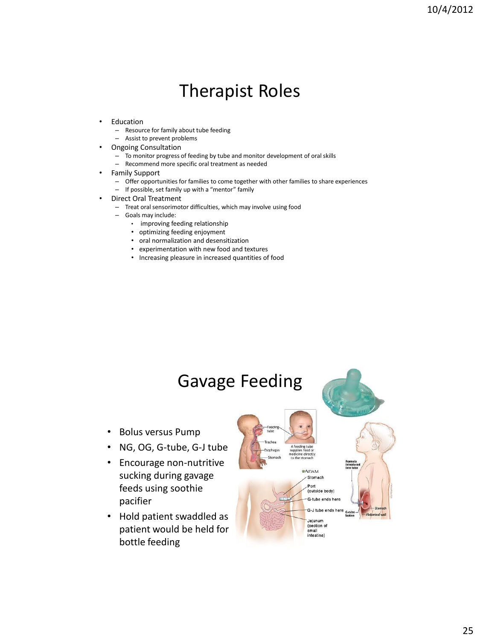## Therapist Roles

- **Education** 
	- Resource for family about tube feeding
	- Assist to prevent problems
- Ongoing Consultation
	- To monitor progress of feeding by tube and monitor development of oral skills
	- Recommend more specific oral treatment as needed
- Family Support
	- Offer opportunities for families to come together with other families to share experiences
	- If possible, set family up with a "mentor" family
- Direct Oral Treatment
	- Treat oral sensorimotor difficulties, which may involve using food
	- Goals may include:
		- improving feeding relationship
		- optimizing feeding enjoyment
		- oral normalization and desensitization
		- experimentation with new food and textures
		- Increasing pleasure in increased quantities of food

### Gavage Feeding

- Bolus versus Pump
- NG, OG, G-tube, G-J tube
- Encourage non-nutritive sucking during gavage feeds using soothie pacifier
- Hold patient swaddled as patient would be held for bottle feeding

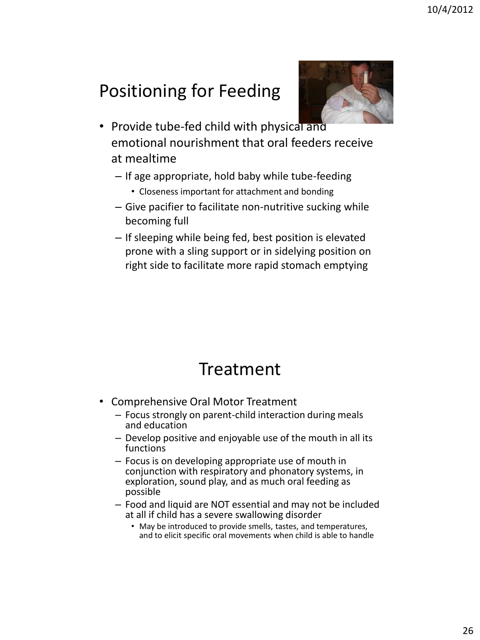# Positioning for Feeding



- Provide tube-fed child with physical and emotional nourishment that oral feeders receive at mealtime
	- If age appropriate, hold baby while tube-feeding
		- Closeness important for attachment and bonding
	- Give pacifier to facilitate non-nutritive sucking while becoming full
	- If sleeping while being fed, best position is elevated prone with a sling support or in sidelying position on right side to facilitate more rapid stomach emptying

# Treatment

- Comprehensive Oral Motor Treatment
	- Focus strongly on parent-child interaction during meals and education
	- Develop positive and enjoyable use of the mouth in all its functions
	- Focus is on developing appropriate use of mouth in conjunction with respiratory and phonatory systems, in exploration, sound play, and as much oral feeding as possible
	- Food and liquid are NOT essential and may not be included at all if child has a severe swallowing disorder
		- May be introduced to provide smells, tastes, and temperatures, and to elicit specific oral movements when child is able to handle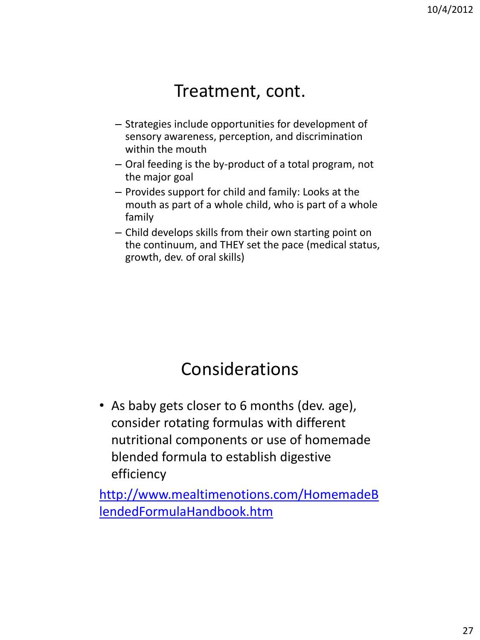### Treatment, cont.

- Strategies include opportunities for development of sensory awareness, perception, and discrimination within the mouth
- Oral feeding is the by-product of a total program, not the major goal
- Provides support for child and family: Looks at the mouth as part of a whole child, who is part of a whole family
- Child develops skills from their own starting point on the continuum, and THEY set the pace (medical status, growth, dev. of oral skills)

## Considerations

• As baby gets closer to 6 months (dev. age), consider rotating formulas with different nutritional components or use of homemade blended formula to establish digestive efficiency

[http://www.mealtimenotions.com/HomemadeB](http://www.mealtimenotions.com/HomemadeBlendedFormulaHandbook.htm) [lendedFormulaHandbook.htm](http://www.mealtimenotions.com/HomemadeBlendedFormulaHandbook.htm)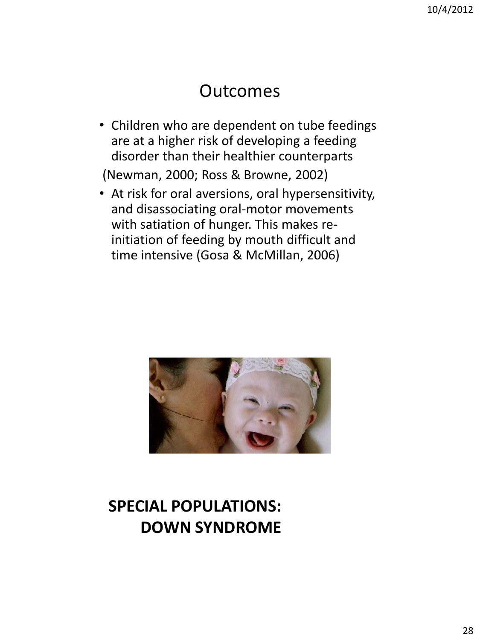### Outcomes

• Children who are dependent on tube feedings are at a higher risk of developing a feeding disorder than their healthier counterparts

(Newman, 2000; Ross & Browne, 2002)

• At risk for oral aversions, oral hypersensitivity, and disassociating oral-motor movements with satiation of hunger. This makes reinitiation of feeding by mouth difficult and time intensive (Gosa & McMillan, 2006)



### **SPECIAL POPULATIONS: DOWN SYNDROME**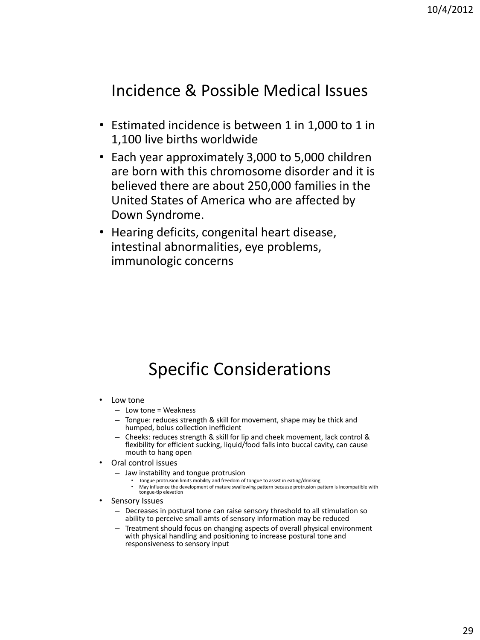### Incidence & Possible Medical Issues

- Estimated incidence is between 1 in 1,000 to 1 in 1,100 live births worldwide
- Each year approximately 3,000 to 5,000 children are born with this chromosome disorder and it is believed there are about 250,000 families in the United States of America who are affected by Down Syndrome.
- Hearing deficits, congenital heart disease, intestinal abnormalities, eye problems, immunologic concerns

# Specific Considerations

- Low tone
	- $-$  Low tone = Weakness
	- Tongue: reduces strength & skill for movement, shape may be thick and humped, bolus collection inefficient
	- Cheeks: reduces strength & skill for lip and cheek movement, lack control & flexibility for efficient sucking, liquid/food falls into buccal cavity, can cause mouth to hang open
- Oral control issues
	- Jaw instability and tongue protrusion
		- Tongue protrusion limits mobility and freedom of tongue to assist in eating/drinking
		- May influence the development of mature swallowing pattern because protrusion pattern is incompatible with tongue-tip elevation
- Sensory Issues
	- Decreases in postural tone can raise sensory threshold to all stimulation so ability to perceive small amts of sensory information may be reduced
	- Treatment should focus on changing aspects of overall physical environment with physical handling and positioning to increase postural tone and responsiveness to sensory input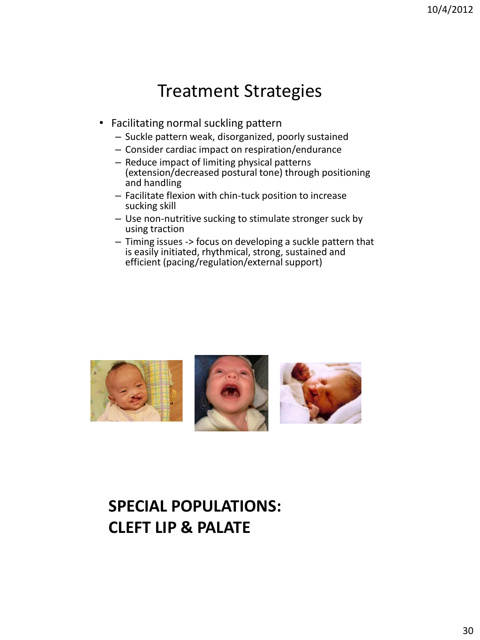### Treatment Strategies

- Facilitating normal suckling pattern
	- Suckle pattern weak, disorganized, poorly sustained
	- Consider cardiac impact on respiration/endurance
	- Reduce impact of limiting physical patterns (extension/decreased postural tone) through positioning and handling
	- Facilitate flexion with chin-tuck position to increase sucking skill
	- Use non-nutritive sucking to stimulate stronger suck by using traction
	- Timing issues -> focus on developing a suckle pattern that is easily initiated, rhythmical, strong, sustained and efficient (pacing/regulation/external support)



### **SPECIAL POPULATIONS: CLEFT LIP & PALATE**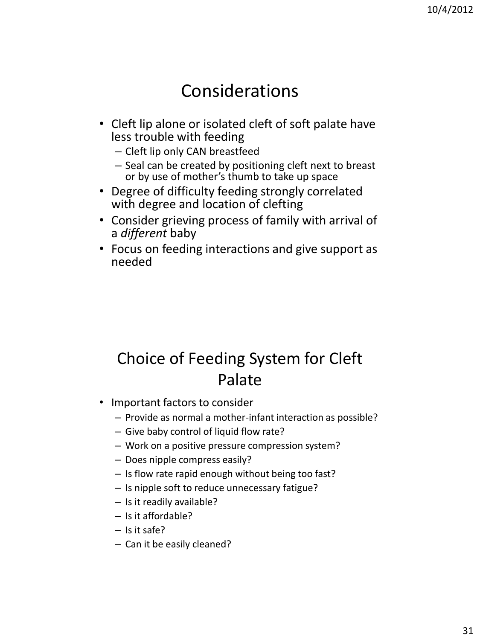### Considerations

- Cleft lip alone or isolated cleft of soft palate have less trouble with feeding
	- Cleft lip only CAN breastfeed
	- Seal can be created by positioning cleft next to breast or by use of mother's thumb to take up space
- Degree of difficulty feeding strongly correlated with degree and location of clefting
- Consider grieving process of family with arrival of a *different* baby
- Focus on feeding interactions and give support as needed

### Choice of Feeding System for Cleft Palate

- Important factors to consider
	- Provide as normal a mother-infant interaction as possible?
	- Give baby control of liquid flow rate?
	- Work on a positive pressure compression system?
	- Does nipple compress easily?
	- Is flow rate rapid enough without being too fast?
	- Is nipple soft to reduce unnecessary fatigue?
	- Is it readily available?
	- Is it affordable?
	- Is it safe?
	- Can it be easily cleaned?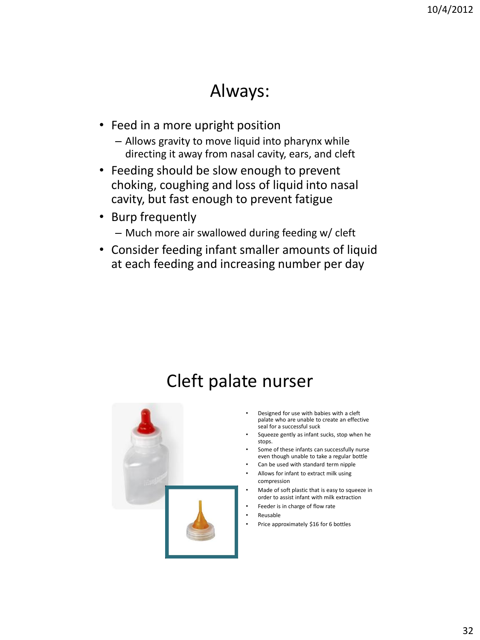### Always:

- Feed in a more upright position
	- Allows gravity to move liquid into pharynx while directing it away from nasal cavity, ears, and cleft
- Feeding should be slow enough to prevent choking, coughing and loss of liquid into nasal cavity, but fast enough to prevent fatigue
- Burp frequently – Much more air swallowed during feeding w/ cleft
- Consider feeding infant smaller amounts of liquid at each feeding and increasing number per day

### Cleft palate nurser



- Designed for use with babies with a cleft palate who are unable to create an effective seal for a successful suck
- Squeeze gently as infant sucks, stop when he stops.
- Some of these infants can successfully nurse even though unable to take a regular bottle
- Can be used with standard term nipple • Allows for infant to extract milk using
- compression
- Made of soft plastic that is easy to squeeze in order to assist infant with milk extraction
- Feeder is in charge of flow rate
- Reusable
- Price approximately \$16 for 6 bottles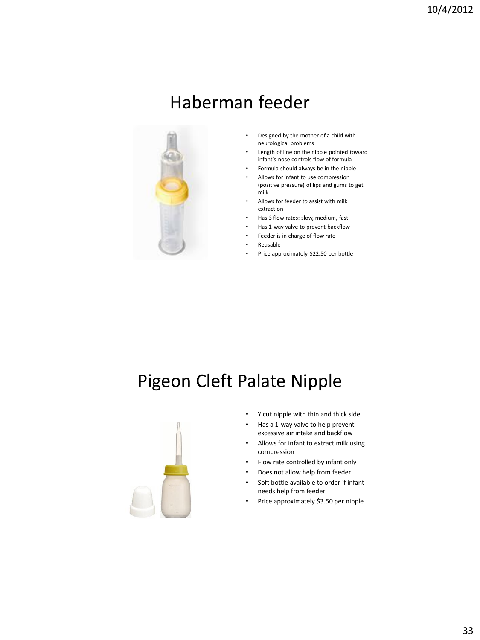## Haberman feeder



- Designed by the mother of a child with neurological problems
- Length of line on the nipple pointed toward infant's nose controls flow of formula
- Formula should always be in the nipple
- Allows for infant to use compression (positive pressure) of lips and gums to get milk
- Allows for feeder to assist with milk extraction
- Has 3 flow rates: slow, medium, fast
- Has 1-way valve to prevent backflow
- Feeder is in charge of flow rate
- Reusable
- Price approximately \$22.50 per bottle

# Pigeon Cleft Palate Nipple



- Y cut nipple with thin and thick side
- Has a 1-way valve to help prevent excessive air intake and backflow
- Allows for infant to extract milk using compression
- Flow rate controlled by infant only
- Does not allow help from feeder
- Soft bottle available to order if infant needs help from feeder
- Price approximately \$3.50 per nipple